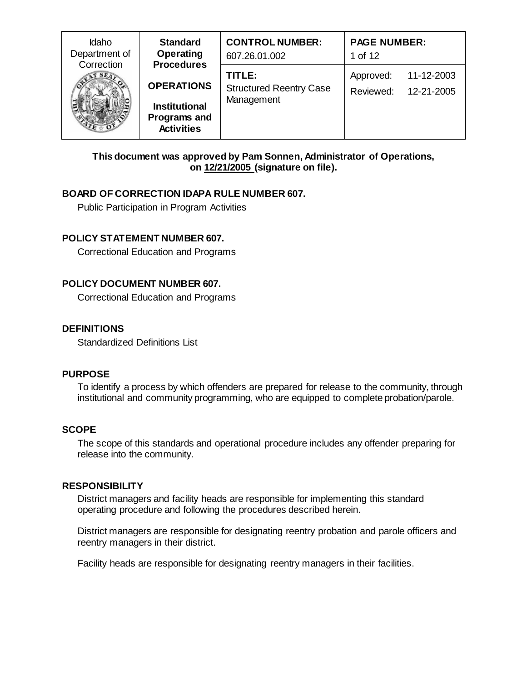| <b>Idaho</b><br>Department of | <b>Standard</b><br>Operating<br><b>Procedures</b><br><b>OPERATIONS</b><br><b>Institutional</b><br>Programs and<br><b>Activities</b> | <b>CONTROL NUMBER:</b><br>607.26.01.002                | <b>PAGE NUMBER:</b><br>1 of 12                     |
|-------------------------------|-------------------------------------------------------------------------------------------------------------------------------------|--------------------------------------------------------|----------------------------------------------------|
| Correction<br>AT SEA          |                                                                                                                                     | TITLE:<br><b>Structured Reentry Case</b><br>Management | 11-12-2003<br>Approved:<br>Reviewed:<br>12-21-2005 |

## **This document was approved by Pam Sonnen, Administrator of Operations, on 12/21/2005 (signature on file).**

# **BOARD OF CORRECTION IDAPA RULE NUMBER 607.**

Public Participation in Program Activities

# **POLICY STATEMENT NUMBER 607.**

Correctional Education and Programs

# **POLICY DOCUMENT NUMBER 607.**

Correctional Education and Programs

### **DEFINITIONS**

Standardized Definitions List

### **PURPOSE**

To identify a process by which offenders are prepared for release to the community, through institutional and community programming, who are equipped to complete probation/parole.

# **SCOPE**

The scope of this standards and operational procedure includes any offender preparing for release into the community.

# **RESPONSIBILITY**

District managers and facility heads are responsible for implementing this standard operating procedure and following the procedures described herein.

District managers are responsible for designating reentry probation and parole officers and reentry managers in their district.

Facility heads are responsible for designating reentry managers in their facilities.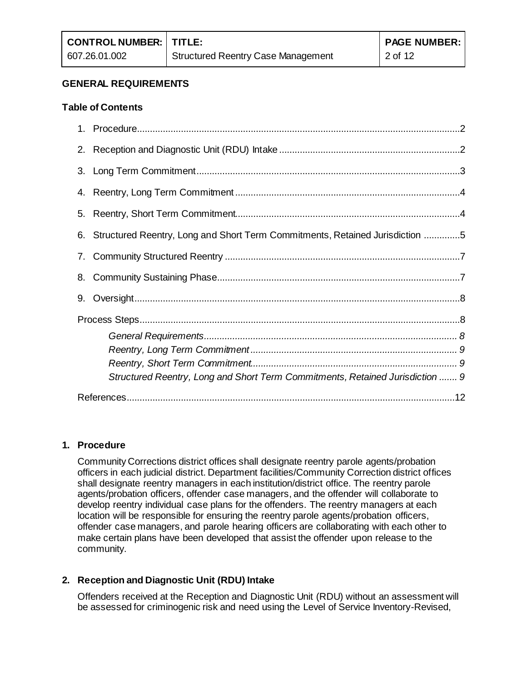#### **GENERAL REQUIREMENTS**

#### **Table of Contents**

| 6. Structured Reentry, Long and Short Term Commitments, Retained Jurisdiction 5 |  |
|---------------------------------------------------------------------------------|--|
|                                                                                 |  |
|                                                                                 |  |
|                                                                                 |  |
|                                                                                 |  |
|                                                                                 |  |
|                                                                                 |  |
|                                                                                 |  |
| Structured Reentry, Long and Short Term Commitments, Retained Jurisdiction  9   |  |
|                                                                                 |  |

#### <span id="page-1-0"></span>**1. Procedure**

Community Corrections district offices shall designate reentry parole agents/probation officers in each judicial district. Department facilities/Community Correction district offices shall designate reentry managers in each institution/district office. The reentry parole agents/probation officers, offender case managers, and the offender will collaborate to develop reentry individual case plans for the offenders. The reentry managers at each location will be responsible for ensuring the reentry parole agents/probation officers, offender case managers, and parole hearing officers are collaborating with each other to make certain plans have been developed that assist the offender upon release to the community.

### <span id="page-1-1"></span>**2. Reception and Diagnostic Unit (RDU) Intake**

Offenders received at the Reception and Diagnostic Unit (RDU) without an assessment will be assessed for criminogenic risk and need using the Level of Service Inventory-Revised,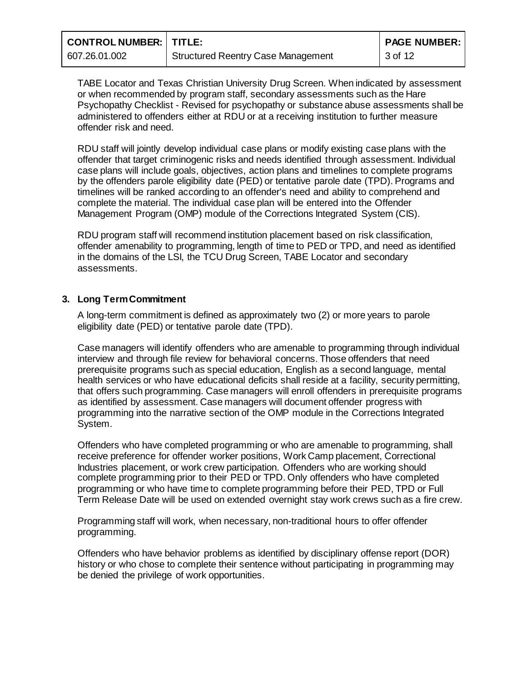| <b>CONTROL NUMBER:   TITLE:</b> |                                           | <b>PAGE NUMBER:</b> |
|---------------------------------|-------------------------------------------|---------------------|
| 607.26.01.002                   | <b>Structured Reentry Case Management</b> | 3 of 12             |

TABE Locator and Texas Christian University Drug Screen. When indicated by assessment or when recommended by program staff, secondary assessments such as the Hare Psychopathy Checklist - Revised for psychopathy or substance abuse assessments shall be administered to offenders either at RDU or at a receiving institution to further measure offender risk and need.

RDU staff will jointly develop individual case plans or modify existing case plans with the offender that target criminogenic risks and needs identified through assessment. Individual case plans will include goals, objectives, action plans and timelines to complete programs by the offenders parole eligibility date (PED) or tentative parole date (TPD). Programs and timelines will be ranked according to an offender's need and ability to comprehend and complete the material. The individual case plan will be entered into the Offender Management Program (OMP) module of the Corrections Integrated System (CIS).

RDU program staff will recommend institution placement based on risk classification, offender amenability to programming, length of time to PED or TPD, and need as identified in the domains of the LSI, the TCU Drug Screen, TABE Locator and secondary assessments.

#### <span id="page-2-0"></span>**3. Long Term Commitment**

A long-term commitment is defined as approximately two (2) or more years to parole eligibility date (PED) or tentative parole date (TPD).

Case managers will identify offenders who are amenable to programming through individual interview and through file review for behavioral concerns. Those offenders that need prerequisite programs such as special education, English as a second language, mental health services or who have educational deficits shall reside at a facility, security permitting, that offers such programming. Case managers will enroll offenders in prerequisite programs as identified by assessment. Case managers will document offender progress with programming into the narrative section of the OMP module in the Corrections Integrated System.

Offenders who have completed programming or who are amenable to programming, shall receive preference for offender worker positions, Work Camp placement, Correctional Industries placement, or work crew participation. Offenders who are working should complete programming prior to their PED or TPD. Only offenders who have completed programming or who have time to complete programming before their PED, TPD or Full Term Release Date will be used on extended overnight stay work crews such as a fire crew.

Programming staff will work, when necessary, non-traditional hours to offer offender programming.

Offenders who have behavior problems as identified by disciplinary offense report (DOR) history or who chose to complete their sentence without participating in programming may be denied the privilege of work opportunities.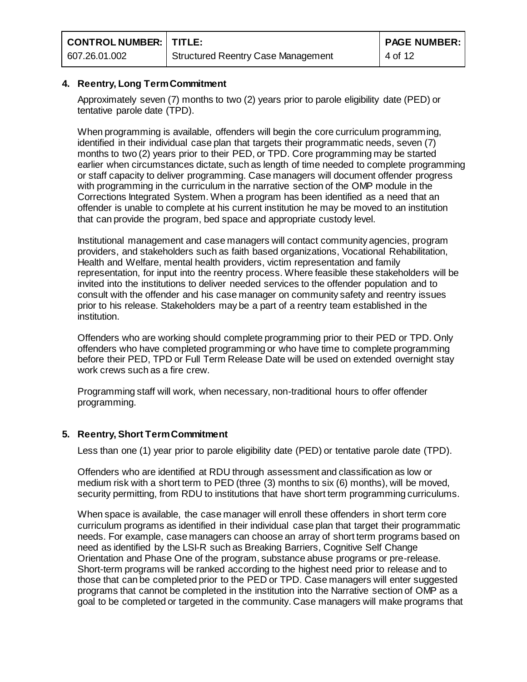| <b>CONTROL NUMBER:   TITLE:</b> |                                    | <b>PAGE NUMBER:</b> |
|---------------------------------|------------------------------------|---------------------|
| 607.26.01.002                   | Structured Reentry Case Management | 4 of 12             |

### <span id="page-3-0"></span>**4. Reentry, Long Term Commitment**

Approximately seven (7) months to two (2) years prior to parole eligibility date (PED) or tentative parole date (TPD).

When programming is available, offenders will begin the core curriculum programming, identified in their individual case plan that targets their programmatic needs, seven (7) months to two (2) years prior to their PED, or TPD. Core programming may be started earlier when circumstances dictate, such as length of time needed to complete programming or staff capacity to deliver programming. Case managers will document offender progress with programming in the curriculum in the narrative section of the OMP module in the Corrections Integrated System. When a program has been identified as a need that an offender is unable to complete at his current institution he may be moved to an institution that can provide the program, bed space and appropriate custody level.

Institutional management and case managers will contact community agencies, program providers, and stakeholders such as faith based organizations, Vocational Rehabilitation, Health and Welfare, mental health providers, victim representation and family representation, for input into the reentry process. Where feasible these stakeholders will be invited into the institutions to deliver needed services to the offender population and to consult with the offender and his case manager on community safety and reentry issues prior to his release. Stakeholders may be a part of a reentry team established in the institution.

Offenders who are working should complete programming prior to their PED or TPD. Only offenders who have completed programming or who have time to complete programming before their PED, TPD or Full Term Release Date will be used on extended overnight stay work crews such as a fire crew.

Programming staff will work, when necessary, non-traditional hours to offer offender programming.

### <span id="page-3-1"></span>**5. Reentry, Short Term Commitment**

Less than one (1) year prior to parole eligibility date (PED) or tentative parole date (TPD).

Offenders who are identified at RDU through assessment and classification as low or medium risk with a short term to PED (three (3) months to six (6) months), will be moved, security permitting, from RDU to institutions that have short term programming curriculums.

When space is available, the case manager will enroll these offenders in short term core curriculum programs as identified in their individual case plan that target their programmatic needs. For example, case managers can choose an array of short term programs based on need as identified by the LSI-R such as Breaking Barriers, Cognitive Self Change Orientation and Phase One of the program, substance abuse programs or pre-release. Short-term programs will be ranked according to the highest need prior to release and to those that can be completed prior to the PED or TPD. Case managers will enter suggested programs that cannot be completed in the institution into the Narrative section of OMP as a goal to be completed or targeted in the community. Case managers will make programs that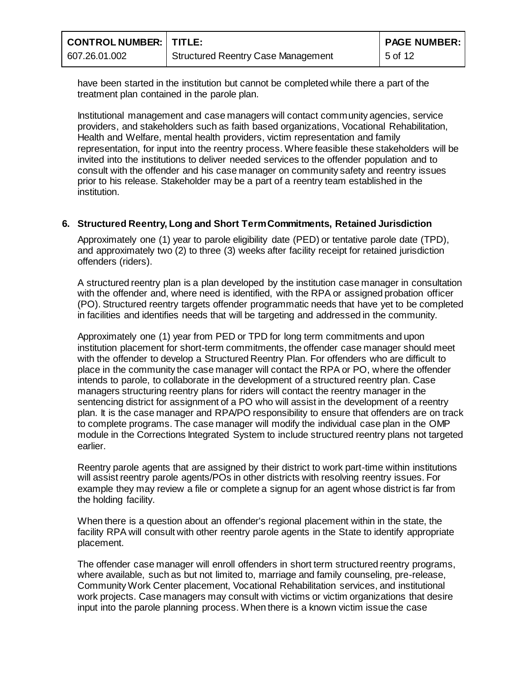| <b>CONTROL NUMBER:   TITLE:</b> |                                           | <b>PAGE NUMBER:</b> |
|---------------------------------|-------------------------------------------|---------------------|
| 607.26.01.002                   | <b>Structured Reentry Case Management</b> | 5 of 12             |

have been started in the institution but cannot be completed while there a part of the treatment plan contained in the parole plan.

Institutional management and case managers will contact community agencies, service providers, and stakeholders such as faith based organizations, Vocational Rehabilitation, Health and Welfare, mental health providers, victim representation and family representation, for input into the reentry process. Where feasible these stakeholders will be invited into the institutions to deliver needed services to the offender population and to consult with the offender and his case manager on community safety and reentry issues prior to his release. Stakeholder may be a part of a reentry team established in the institution.

### <span id="page-4-0"></span>**6. Structured Reentry, Long and Short Term Commitments, Retained Jurisdiction**

Approximately one (1) year to parole eligibility date (PED) or tentative parole date (TPD), and approximately two (2) to three (3) weeks after facility receipt for retained jurisdiction offenders (riders).

A structured reentry plan is a plan developed by the institution case manager in consultation with the offender and, where need is identified, with the RPA or assigned probation officer (PO). Structured reentry targets offender programmatic needs that have yet to be completed in facilities and identifies needs that will be targeting and addressed in the community.

Approximately one (1) year from PED or TPD for long term commitments and upon institution placement for short-term commitments, the offender case manager should meet with the offender to develop a Structured Reentry Plan. For offenders who are difficult to place in the community the case manager will contact the RPA or PO, where the offender intends to parole, to collaborate in the development of a structured reentry plan. Case managers structuring reentry plans for riders will contact the reentry manager in the sentencing district for assignment of a PO who will assist in the development of a reentry plan. It is the case manager and RPA/PO responsibility to ensure that offenders are on track to complete programs. The case manager will modify the individual case plan in the OMP module in the Corrections Integrated System to include structured reentry plans not targeted earlier.

Reentry parole agents that are assigned by their district to work part-time within institutions will assist reentry parole agents/POs in other districts with resolving reentry issues. For example they may review a file or complete a signup for an agent whose district is far from the holding facility.

When there is a question about an offender's regional placement within in the state, the facility RPA will consult with other reentry parole agents in the State to identify appropriate placement.

The offender case manager will enroll offenders in short term structured reentry programs, where available, such as but not limited to, marriage and family counseling, pre-release, Community Work Center placement, Vocational Rehabilitation services, and institutional work projects. Case managers may consult with victims or victim organizations that desire input into the parole planning process. When there is a known victim issue the case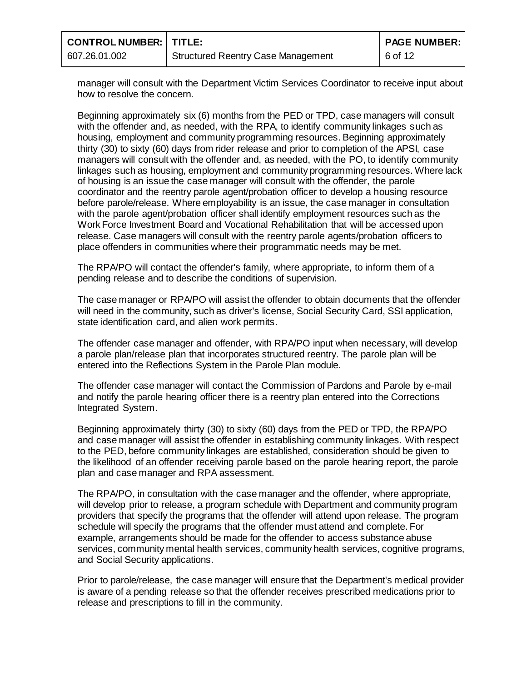| <b>CONTROL NUMBER:   TITLE:</b> |                                           | <b>PAGE NUMBER:</b> |
|---------------------------------|-------------------------------------------|---------------------|
| 607.26.01.002                   | <b>Structured Reentry Case Management</b> | $6$ of 12           |

manager will consult with the Department Victim Services Coordinator to receive input about how to resolve the concern.

Beginning approximately six (6) months from the PED or TPD, case managers will consult with the offender and, as needed, with the RPA, to identify community linkages such as housing, employment and community programming resources. Beginning approximately thirty (30) to sixty (60) days from rider release and prior to completion of the APSI, case managers will consult with the offender and, as needed, with the PO, to identify community linkages such as housing, employment and community programming resources. Where lack of housing is an issue the case manager will consult with the offender, the parole coordinator and the reentry parole agent/probation officer to develop a housing resource before parole/release. Where employability is an issue, the case manager in consultation with the parole agent/probation officer shall identify employment resources such as the Work Force Investment Board and Vocational Rehabilitation that will be accessed upon release. Case managers will consult with the reentry parole agents/probation officers to place offenders in communities where their programmatic needs may be met.

The RPA/PO will contact the offender's family, where appropriate, to inform them of a pending release and to describe the conditions of supervision.

The case manager or RPA/PO will assist the offender to obtain documents that the offender will need in the community, such as driver's license, Social Security Card, SSI application, state identification card, and alien work permits.

The offender case manager and offender, with RPA/PO input when necessary, will develop a parole plan/release plan that incorporates structured reentry. The parole plan will be entered into the Reflections System in the Parole Plan module.

The offender case manager will contact the Commission of Pardons and Parole by e-mail and notify the parole hearing officer there is a reentry plan entered into the Corrections Integrated System.

Beginning approximately thirty (30) to sixty (60) days from the PED or TPD, the RPA/PO and case manager will assist the offender in establishing community linkages. With respect to the PED, before community linkages are established, consideration should be given to the likelihood of an offender receiving parole based on the parole hearing report, the parole plan and case manager and RPA assessment.

The RPA/PO, in consultation with the case manager and the offender, where appropriate, will develop prior to release, a program schedule with Department and community program providers that specify the programs that the offender will attend upon release. The program schedule will specify the programs that the offender must attend and complete. For example, arrangements should be made for the offender to access substance abuse services, community mental health services, community health services, cognitive programs, and Social Security applications.

Prior to parole/release, the case manager will ensure that the Department's medical provider is aware of a pending release so that the offender receives prescribed medications prior to release and prescriptions to fill in the community.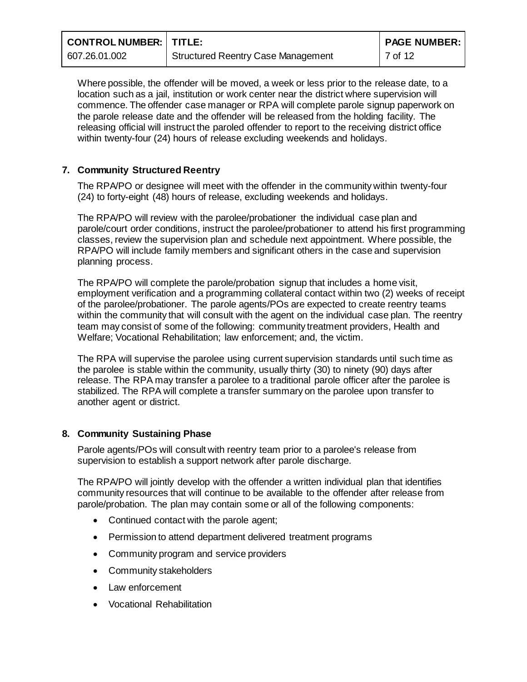| <b>CONTROL NUMBER:   TITLE:</b> |                                           | <b>PAGE NUMBER:</b> |
|---------------------------------|-------------------------------------------|---------------------|
| 607.26.01.002                   | <b>Structured Reentry Case Management</b> | $\vert$ 7 of 12     |

Where possible, the offender will be moved, a week or less prior to the release date, to a location such as a jail, institution or work center near the district where supervision will commence. The offender case manager or RPA will complete parole signup paperwork on the parole release date and the offender will be released from the holding facility. The releasing official will instruct the paroled offender to report to the receiving district office within twenty-four (24) hours of release excluding weekends and holidays.

### <span id="page-6-0"></span>**7. Community Structured Reentry**

The RPA/PO or designee will meet with the offender in the community within twenty-four (24) to forty-eight (48) hours of release, excluding weekends and holidays.

The RPA/PO will review with the parolee/probationer the individual case plan and parole/court order conditions, instruct the parolee/probationer to attend his first programming classes, review the supervision plan and schedule next appointment. Where possible, the RPA/PO will include family members and significant others in the case and supervision planning process.

The RPA/PO will complete the parole/probation signup that includes a home visit, employment verification and a programming collateral contact within two (2) weeks of receipt of the parolee/probationer. The parole agents/POs are expected to create reentry teams within the community that will consult with the agent on the individual case plan. The reentry team may consist of some of the following: community treatment providers, Health and Welfare; Vocational Rehabilitation; law enforcement; and, the victim.

The RPA will supervise the parolee using current supervision standards until such time as the parolee is stable within the community, usually thirty (30) to ninety (90) days after release. The RPA may transfer a parolee to a traditional parole officer after the parolee is stabilized. The RPA will complete a transfer summary on the parolee upon transfer to another agent or district.

### <span id="page-6-1"></span>**8. Community Sustaining Phase**

Parole agents/POs will consult with reentry team prior to a parolee's release from supervision to establish a support network after parole discharge.

The RPA/PO will jointly develop with the offender a written individual plan that identifies community resources that will continue to be available to the offender after release from parole/probation. The plan may contain some or all of the following components:

- Continued contact with the parole agent;
- Permission to attend department delivered treatment programs
- Community program and service providers
- Community stakeholders
- Law enforcement
- Vocational Rehabilitation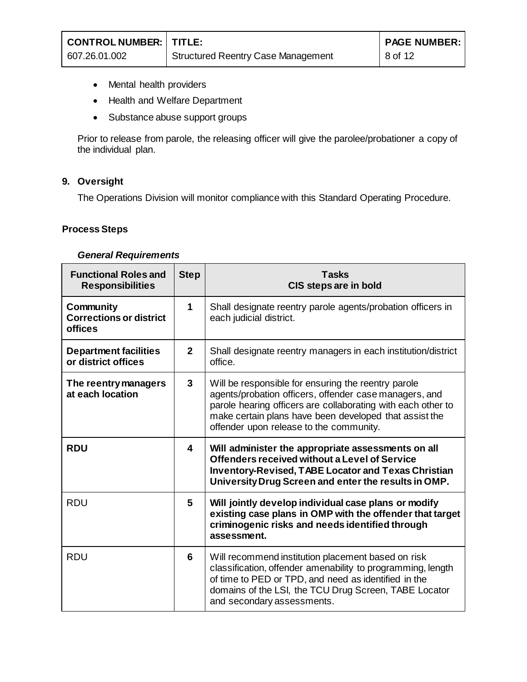- Mental health providers
- Health and Welfare Department
- Substance abuse support groups

Prior to release from parole, the releasing officer will give the parolee/probationer a copy of the individual plan.

# <span id="page-7-0"></span>**9. Oversight**

The Operations Division will monitor compliance with this Standard Operating Procedure.

### <span id="page-7-2"></span><span id="page-7-1"></span>**Process Steps**

#### *General Requirements*

| <b>Functional Roles and</b><br><b>Responsibilities</b>               | <b>Step</b>    | <b>Tasks</b><br>CIS steps are in bold                                                                                                                                                                                                                                              |
|----------------------------------------------------------------------|----------------|------------------------------------------------------------------------------------------------------------------------------------------------------------------------------------------------------------------------------------------------------------------------------------|
| <b>Community</b><br><b>Corrections or district</b><br><b>offices</b> | $\mathbf{1}$   | Shall designate reentry parole agents/probation officers in<br>each judicial district.                                                                                                                                                                                             |
| <b>Department facilities</b><br>or district offices                  | $\overline{2}$ | Shall designate reentry managers in each institution/district<br>office.                                                                                                                                                                                                           |
| The reentry managers<br>at each location                             | 3              | Will be responsible for ensuring the reentry parole<br>agents/probation officers, offender case managers, and<br>parole hearing officers are collaborating with each other to<br>make certain plans have been developed that assist the<br>offender upon release to the community. |
| <b>RDU</b>                                                           | 4              | Will administer the appropriate assessments on all<br>Offenders received without a Level of Service<br><b>Inventory-Revised, TABE Locator and Texas Christian</b><br>University Drug Screen and enter the results in OMP.                                                          |
| <b>RDU</b>                                                           | 5              | Will jointly develop individual case plans or modify<br>existing case plans in OMP with the offender that target<br>criminogenic risks and needs identified through<br>assessment.                                                                                                 |
| <b>RDU</b>                                                           | 6              | Will recommend institution placement based on risk<br>classification, offender amenability to programming, length<br>of time to PED or TPD, and need as identified in the<br>domains of the LSI, the TCU Drug Screen, TABE Locator<br>and secondary assessments.                   |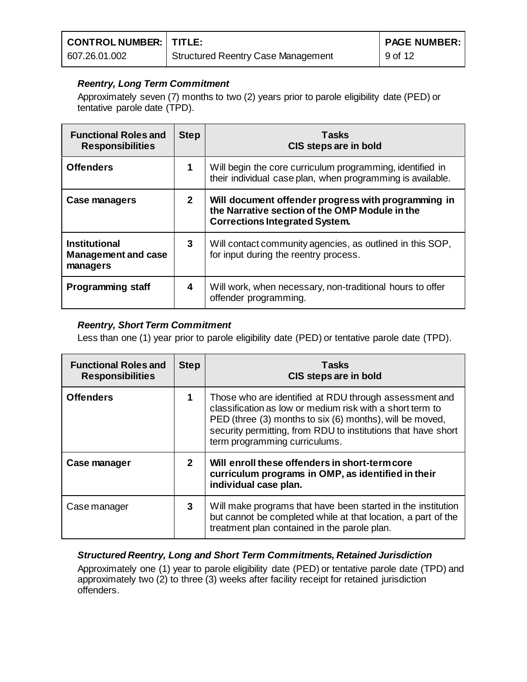| <b>CONTROL NUMBER:   TITLE:</b> |                                           | <b>PAGE NUMBER:</b> |
|---------------------------------|-------------------------------------------|---------------------|
| 607.26.01.002                   | <b>Structured Reentry Case Management</b> | 9 of 12             |

# <span id="page-8-0"></span>*Reentry, Long Term Commitment*

Approximately seven (7) months to two (2) years prior to parole eligibility date (PED) or tentative parole date (TPD).

| <b>Functional Roles and</b><br><b>Responsibilities</b>         | <b>Step</b>    | <b>Tasks</b><br>CIS steps are in bold                                                                                                          |
|----------------------------------------------------------------|----------------|------------------------------------------------------------------------------------------------------------------------------------------------|
| <b>Offenders</b>                                               | 1              | Will begin the core curriculum programming, identified in<br>their individual case plan, when programming is available.                        |
| Case managers                                                  | $\overline{2}$ | Will document offender progress with programming in<br>the Narrative section of the OMP Module in the<br><b>Corrections Integrated System.</b> |
| <b>Institutional</b><br><b>Management and case</b><br>managers | 3              | Will contact community agencies, as outlined in this SOP,<br>for input during the reentry process.                                             |
| <b>Programming staff</b>                                       | 4              | Will work, when necessary, non-traditional hours to offer<br>offender programming.                                                             |

# <span id="page-8-1"></span>*Reentry, Short Term Commitment*

Less than one (1) year prior to parole eligibility date (PED) or tentative parole date (TPD).

| <b>Functional Roles and</b><br><b>Responsibilities</b> | <b>Step</b>  | <b>Tasks</b><br><b>CIS steps are in bold</b>                                                                                                                                                                                                                                      |
|--------------------------------------------------------|--------------|-----------------------------------------------------------------------------------------------------------------------------------------------------------------------------------------------------------------------------------------------------------------------------------|
| <b>Offenders</b>                                       | 1            | Those who are identified at RDU through assessment and<br>classification as low or medium risk with a short term to<br>PED (three (3) months to six (6) months), will be moved,<br>security permitting, from RDU to institutions that have short<br>term programming curriculums. |
| Case manager                                           | $\mathbf{2}$ | Will enroll these offenders in short-term core<br>curriculum programs in OMP, as identified in their<br>individual case plan.                                                                                                                                                     |
| Case manager                                           | 3            | Will make programs that have been started in the institution<br>but cannot be completed while at that location, a part of the<br>treatment plan contained in the parole plan.                                                                                                     |

# <span id="page-8-2"></span>*Structured Reentry, Long and Short Term Commitments, Retained Jurisdiction*

Approximately one (1) year to parole eligibility date (PED) or tentative parole date (TPD) and approximately two (2) to three (3) weeks after facility receipt for retained jurisdiction offenders.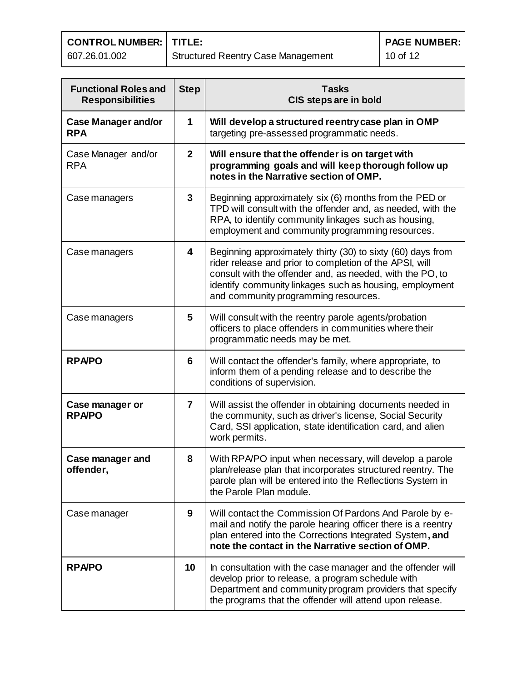**CONTROL NUMBER:** 607.26.01.002 **TITLE:** Structured Reentry Case Management

| <b>Functional Roles and</b><br><b>Responsibilities</b> | <b>Step</b>             | <b>Tasks</b><br>CIS steps are in bold                                                                                                                                                                                                                                                  |
|--------------------------------------------------------|-------------------------|----------------------------------------------------------------------------------------------------------------------------------------------------------------------------------------------------------------------------------------------------------------------------------------|
| <b>Case Manager and/or</b><br><b>RPA</b>               | 1                       | Will develop a structured reentry case plan in OMP<br>targeting pre-assessed programmatic needs.                                                                                                                                                                                       |
| Case Manager and/or<br><b>RPA</b>                      | $\mathbf{2}$            | Will ensure that the offender is on target with<br>programming goals and will keep thorough follow up<br>notes in the Narrative section of OMP.                                                                                                                                        |
| Case managers                                          | $\mathbf{3}$            | Beginning approximately six (6) months from the PED or<br>TPD will consult with the offender and, as needed, with the<br>RPA, to identify community linkages such as housing,<br>employment and community programming resources.                                                       |
| Case managers                                          | $\overline{\mathbf{4}}$ | Beginning approximately thirty (30) to sixty (60) days from<br>rider release and prior to completion of the APSI, will<br>consult with the offender and, as needed, with the PO, to<br>identify community linkages such as housing, employment<br>and community programming resources. |
| Case managers                                          | 5                       | Will consult with the reentry parole agents/probation<br>officers to place offenders in communities where their<br>programmatic needs may be met.                                                                                                                                      |
| <b>RPAPO</b>                                           | 6                       | Will contact the offender's family, where appropriate, to<br>inform them of a pending release and to describe the<br>conditions of supervision.                                                                                                                                        |
| Case manager or<br><b>RPAPO</b>                        | $\overline{7}$          | Will assist the offender in obtaining documents needed in<br>the community, such as driver's license, Social Security<br>Card, SSI application, state identification card, and alien<br>work permits.                                                                                  |
| Case manager and<br>offender,                          | 8                       | With RPA/PO input when necessary, will develop a parole<br>plan/release plan that incorporates structured reentry. The<br>parole plan will be entered into the Reflections System in<br>the Parole Plan module.                                                                        |
| Case manager                                           | 9                       | Will contact the Commission Of Pardons And Parole by e-<br>mail and notify the parole hearing officer there is a reentry<br>plan entered into the Corrections Integrated System, and<br>note the contact in the Narrative section of OMP.                                              |
| <b>RPAPO</b>                                           | 10                      | In consultation with the case manager and the offender will<br>develop prior to release, a program schedule with<br>Department and community program providers that specify<br>the programs that the offender will attend upon release.                                                |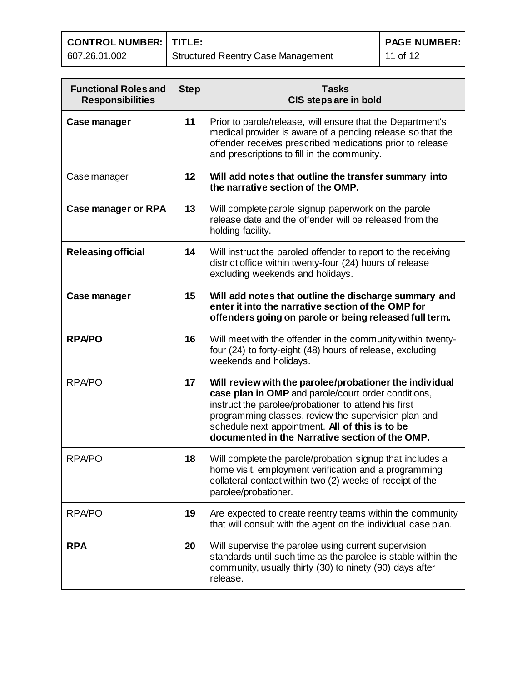**CONTROL NUMBER:** 607.26.01.002 **TITLE:** Structured Reentry Case Management **PAGE NUMBER:** 11 of 12

| <b>Functional Roles and</b><br><b>Responsibilities</b> | <b>Step</b> | <b>Tasks</b><br>CIS steps are in bold                                                                                                                                                                                                                                                                                                |
|--------------------------------------------------------|-------------|--------------------------------------------------------------------------------------------------------------------------------------------------------------------------------------------------------------------------------------------------------------------------------------------------------------------------------------|
| Case manager                                           | 11          | Prior to parole/release, will ensure that the Department's<br>medical provider is aware of a pending release so that the<br>offender receives prescribed medications prior to release<br>and prescriptions to fill in the community.                                                                                                 |
| Case manager                                           | 12          | Will add notes that outline the transfer summary into<br>the narrative section of the OMP.                                                                                                                                                                                                                                           |
| <b>Case manager or RPA</b>                             | 13          | Will complete parole signup paperwork on the parole<br>release date and the offender will be released from the<br>holding facility.                                                                                                                                                                                                  |
| <b>Releasing official</b>                              | 14          | Will instruct the paroled offender to report to the receiving<br>district office within twenty-four (24) hours of release<br>excluding weekends and holidays.                                                                                                                                                                        |
| Case manager                                           | 15          | Will add notes that outline the discharge summary and<br>enter it into the narrative section of the OMP for<br>offenders going on parole or being released full term.                                                                                                                                                                |
| <b>RPAPO</b>                                           | 16          | Will meet with the offender in the community within twenty-<br>four (24) to forty-eight (48) hours of release, excluding<br>weekends and holidays.                                                                                                                                                                                   |
| <b>RPA/PO</b>                                          | 17          | Will review with the parolee/probationer the individual<br>case plan in OMP and parole/court order conditions,<br>instruct the parolee/probationer to attend his first<br>programming classes, review the supervision plan and<br>schedule next appointment. All of this is to be<br>documented in the Narrative section of the OMP. |
| <b>RPA/PO</b>                                          | 18          | Will complete the parole/probation signup that includes a<br>home visit, employment verification and a programming<br>collateral contact within two (2) weeks of receipt of the<br>parolee/probationer.                                                                                                                              |
| <b>RPA/PO</b>                                          | 19          | Are expected to create reentry teams within the community<br>that will consult with the agent on the individual case plan.                                                                                                                                                                                                           |
| <b>RPA</b>                                             | 20          | Will supervise the parolee using current supervision<br>standards until such time as the parolee is stable within the<br>community, usually thirty (30) to ninety (90) days after<br>release.                                                                                                                                        |